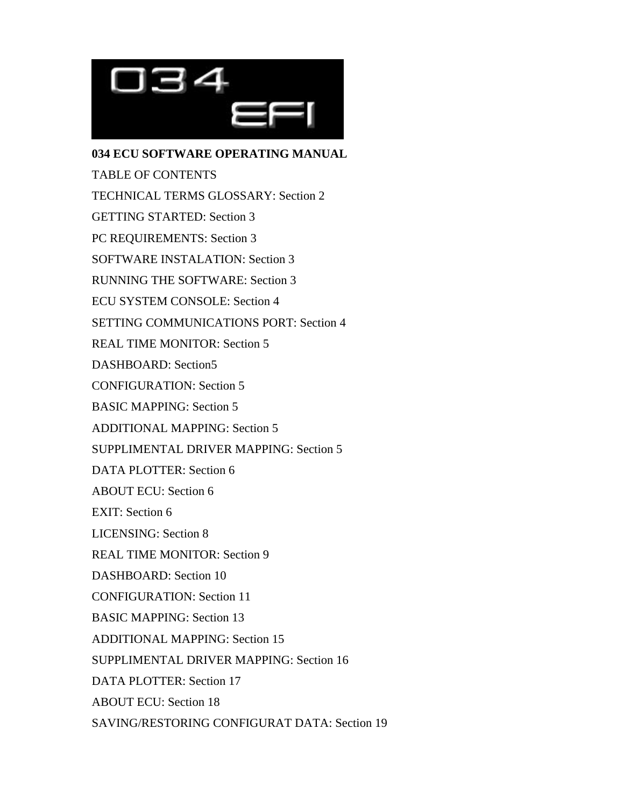

**034 ECU SOFTWARE OPERATING MANUAL** TABLE OF CONTENTS TECHNICAL TERMS GLOSSARY: Section 2 GETTING STARTED: Section 3 PC REQUIREMENTS: Section 3 SOFTWARE INSTALATION: Section 3 RUNNING THE SOFTWARE: Section 3 ECU SYSTEM CONSOLE: Section 4 SETTING COMMUNICATIONS PORT: Section 4 REAL TIME MONITOR: Section 5 DASHBOARD: Section5 CONFIGURATION: Section 5 BASIC MAPPING: Section 5 ADDITIONAL MAPPING: Section 5 SUPPLIMENTAL DRIVER MAPPING: Section 5 DATA PLOTTER: Section 6 ABOUT ECU: Section 6 EXIT: Section 6 LICENSING: Section 8 REAL TIME MONITOR: Section 9 DASHBOARD: Section 10 CONFIGURATION: Section 11 BASIC MAPPING: Section 13 ADDITIONAL MAPPING: Section 15 SUPPLIMENTAL DRIVER MAPPING: Section 16 DATA PLOTTER: Section 17 ABOUT ECU: Section 18 SAVING/RESTORING CONFIGURAT DATA: Section 19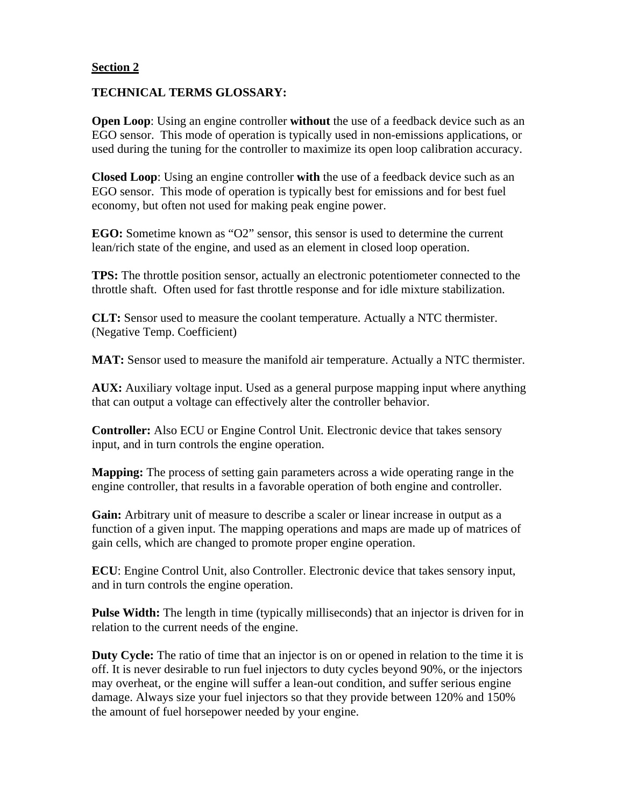#### **TECHNICAL TERMS GLOSSARY:**

**Open Loop**: Using an engine controller **without** the use of a feedback device such as an EGO sensor. This mode of operation is typically used in non-emissions applications, or used during the tuning for the controller to maximize its open loop calibration accuracy.

**Closed Loop**: Using an engine controller **with** the use of a feedback device such as an EGO sensor. This mode of operation is typically best for emissions and for best fuel economy, but often not used for making peak engine power.

**EGO:** Sometime known as "O2" sensor, this sensor is used to determine the current lean/rich state of the engine, and used as an element in closed loop operation.

**TPS:** The throttle position sensor, actually an electronic potentiometer connected to the throttle shaft. Often used for fast throttle response and for idle mixture stabilization.

**CLT:** Sensor used to measure the coolant temperature. Actually a NTC thermister. (Negative Temp. Coefficient)

**MAT:** Sensor used to measure the manifold air temperature. Actually a NTC thermister.

**AUX:** Auxiliary voltage input. Used as a general purpose mapping input where anything that can output a voltage can effectively alter the controller behavior.

**Controller:** Also ECU or Engine Control Unit. Electronic device that takes sensory input, and in turn controls the engine operation.

**Mapping:** The process of setting gain parameters across a wide operating range in the engine controller, that results in a favorable operation of both engine and controller.

**Gain:** Arbitrary unit of measure to describe a scaler or linear increase in output as a function of a given input. The mapping operations and maps are made up of matrices of gain cells, which are changed to promote proper engine operation.

**ECU**: Engine Control Unit, also Controller. Electronic device that takes sensory input, and in turn controls the engine operation.

Pulse Width: The length in time (typically milliseconds) that an injector is driven for in relation to the current needs of the engine.

**Duty Cycle:** The ratio of time that an injector is on or opened in relation to the time it is off. It is never desirable to run fuel injectors to duty cycles beyond 90%, or the injectors may overheat, or the engine will suffer a lean-out condition, and suffer serious engine damage. Always size your fuel injectors so that they provide between 120% and 150% the amount of fuel horsepower needed by your engine.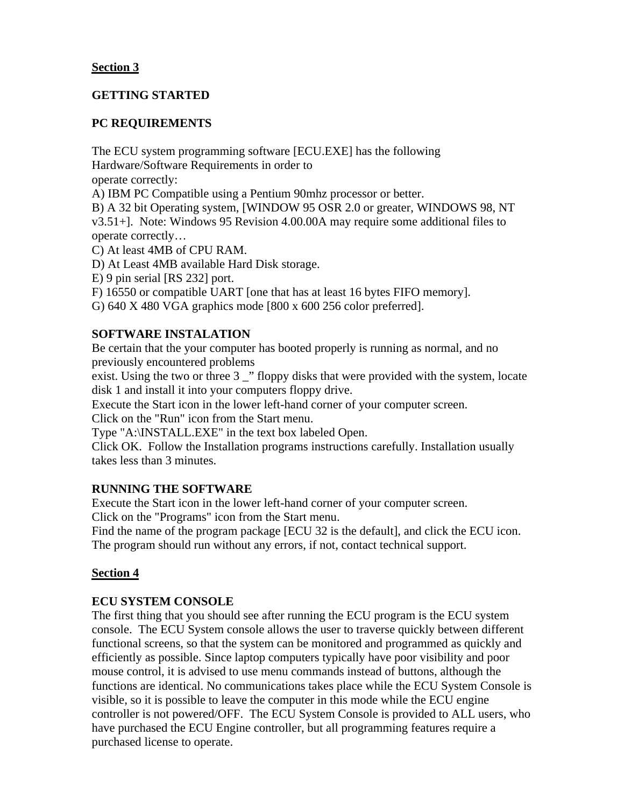## **GETTING STARTED**

## **PC REQUIREMENTS**

The ECU system programming software [ECU.EXE] has the following Hardware/Software Requirements in order to

operate correctly:

A) IBM PC Compatible using a Pentium 90mhz processor or better.

B) A 32 bit Operating system, [WINDOW 95 OSR 2.0 or greater, WINDOWS 98, NT v3.51+]. Note: Windows 95 Revision 4.00.00A may require some additional files to operate correctly…

C) At least 4MB of CPU RAM.

D) At Least 4MB available Hard Disk storage.

E) 9 pin serial [RS 232] port.

F) 16550 or compatible UART [one that has at least 16 bytes FIFO memory].

G) 640 X 480 VGA graphics mode [800 x 600 256 color preferred].

## **SOFTWARE INSTALATION**

Be certain that the your computer has booted properly is running as normal, and no previously encountered problems

exist. Using the two or three 3 \_" floppy disks that were provided with the system, locate disk 1 and install it into your computers floppy drive.

Execute the Start icon in the lower left-hand corner of your computer screen.

Click on the "Run" icon from the Start menu.

Type "A:\INSTALL.EXE" in the text box labeled Open.

Click OK. Follow the Installation programs instructions carefully. Installation usually takes less than 3 minutes.

## **RUNNING THE SOFTWARE**

Execute the Start icon in the lower left-hand corner of your computer screen. Click on the "Programs" icon from the Start menu.

Find the name of the program package [ECU 32 is the default], and click the ECU icon. The program should run without any errors, if not, contact technical support.

# **Section 4**

## **ECU SYSTEM CONSOLE**

The first thing that you should see after running the ECU program is the ECU system console. The ECU System console allows the user to traverse quickly between different functional screens, so that the system can be monitored and programmed as quickly and efficiently as possible. Since laptop computers typically have poor visibility and poor mouse control, it is advised to use menu commands instead of buttons, although the functions are identical. No communications takes place while the ECU System Console is visible, so it is possible to leave the computer in this mode while the ECU engine controller is not powered/OFF. The ECU System Console is provided to ALL users, who have purchased the ECU Engine controller, but all programming features require a purchased license to operate.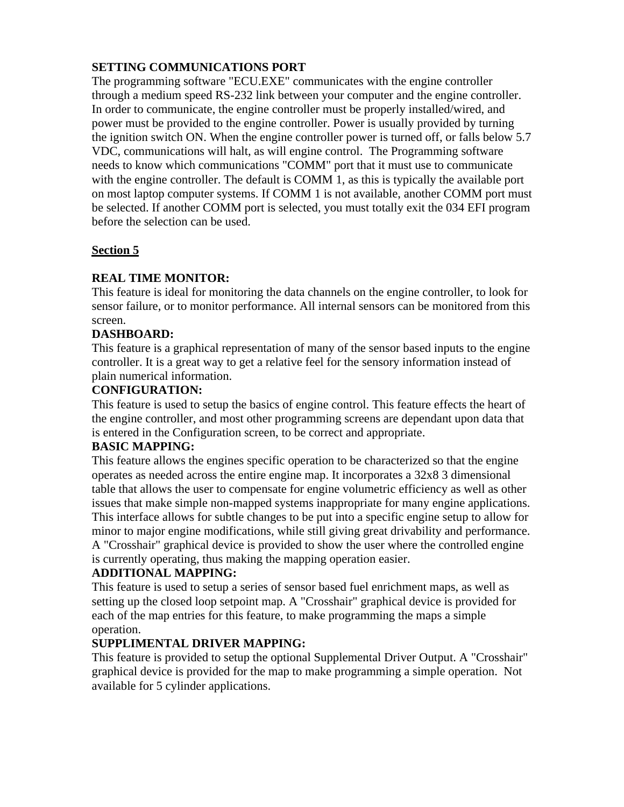# **SETTING COMMUNICATIONS PORT**

The programming software "ECU.EXE" communicates with the engine controller through a medium speed RS-232 link between your computer and the engine controller. In order to communicate, the engine controller must be properly installed/wired, and power must be provided to the engine controller. Power is usually provided by turning the ignition switch ON. When the engine controller power is turned off, or falls below 5.7 VDC, communications will halt, as will engine control. The Programming software needs to know which communications "COMM" port that it must use to communicate with the engine controller. The default is COMM 1, as this is typically the available port on most laptop computer systems. If COMM 1 is not available, another COMM port must be selected. If another COMM port is selected, you must totally exit the 034 EFI program before the selection can be used.

## **Section 5**

## **REAL TIME MONITOR:**

This feature is ideal for monitoring the data channels on the engine controller, to look for sensor failure, or to monitor performance. All internal sensors can be monitored from this screen.

## **DASHBOARD:**

This feature is a graphical representation of many of the sensor based inputs to the engine controller. It is a great way to get a relative feel for the sensory information instead of plain numerical information.

#### **CONFIGURATION:**

This feature is used to setup the basics of engine control. This feature effects the heart of the engine controller, and most other programming screens are dependant upon data that is entered in the Configuration screen, to be correct and appropriate.

## **BASIC MAPPING:**

This feature allows the engines specific operation to be characterized so that the engine operates as needed across the entire engine map. It incorporates a 32x8 3 dimensional table that allows the user to compensate for engine volumetric efficiency as well as other issues that make simple non-mapped systems inappropriate for many engine applications. This interface allows for subtle changes to be put into a specific engine setup to allow for minor to major engine modifications, while still giving great drivability and performance. A "Crosshair" graphical device is provided to show the user where the controlled engine is currently operating, thus making the mapping operation easier.

## **ADDITIONAL MAPPING:**

This feature is used to setup a series of sensor based fuel enrichment maps, as well as setting up the closed loop setpoint map. A "Crosshair" graphical device is provided for each of the map entries for this feature, to make programming the maps a simple operation.

## **SUPPLIMENTAL DRIVER MAPPING:**

This feature is provided to setup the optional Supplemental Driver Output. A "Crosshair" graphical device is provided for the map to make programming a simple operation. Not available for 5 cylinder applications.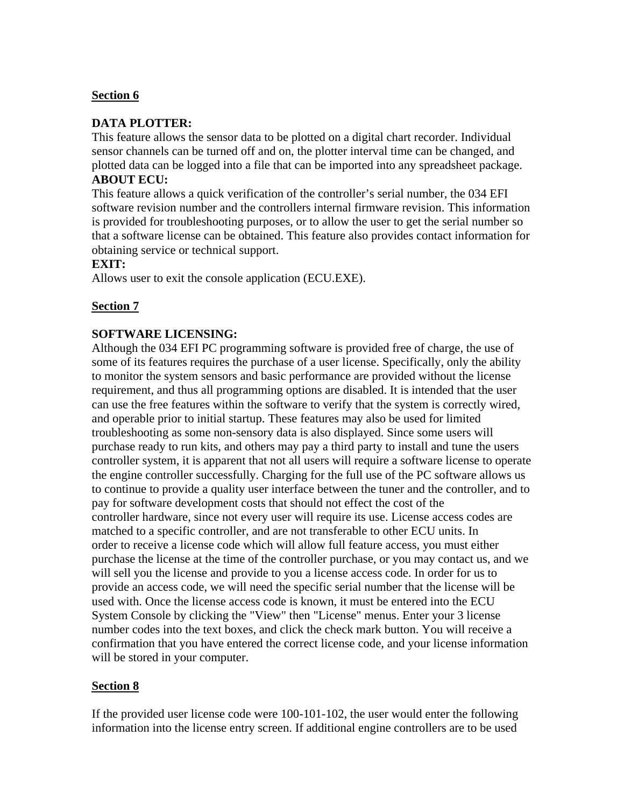## **DATA PLOTTER:**

This feature allows the sensor data to be plotted on a digital chart recorder. Individual sensor channels can be turned off and on, the plotter interval time can be changed, and plotted data can be logged into a file that can be imported into any spreadsheet package. **ABOUT ECU:**

This feature allows a quick verification of the controller's serial number, the 034 EFI software revision number and the controllers internal firmware revision. This information is provided for troubleshooting purposes, or to allow the user to get the serial number so that a software license can be obtained. This feature also provides contact information for obtaining service or technical support.

#### **EXIT:**

Allows user to exit the console application (ECU.EXE).

## **Section 7**

#### **SOFTWARE LICENSING:**

Although the 034 EFI PC programming software is provided free of charge, the use of some of its features requires the purchase of a user license. Specifically, only the ability to monitor the system sensors and basic performance are provided without the license requirement, and thus all programming options are disabled. It is intended that the user can use the free features within the software to verify that the system is correctly wired, and operable prior to initial startup. These features may also be used for limited troubleshooting as some non-sensory data is also displayed. Since some users will purchase ready to run kits, and others may pay a third party to install and tune the users controller system, it is apparent that not all users will require a software license to operate the engine controller successfully. Charging for the full use of the PC software allows us to continue to provide a quality user interface between the tuner and the controller, and to pay for software development costs that should not effect the cost of the controller hardware, since not every user will require its use. License access codes are matched to a specific controller, and are not transferable to other ECU units. In order to receive a license code which will allow full feature access, you must either purchase the license at the time of the controller purchase, or you may contact us, and we will sell you the license and provide to you a license access code. In order for us to provide an access code, we will need the specific serial number that the license will be used with. Once the license access code is known, it must be entered into the ECU System Console by clicking the "View" then "License" menus. Enter your 3 license number codes into the text boxes, and click the check mark button. You will receive a confirmation that you have entered the correct license code, and your license information will be stored in your computer.

## **Section 8**

If the provided user license code were 100-101-102, the user would enter the following information into the license entry screen. If additional engine controllers are to be used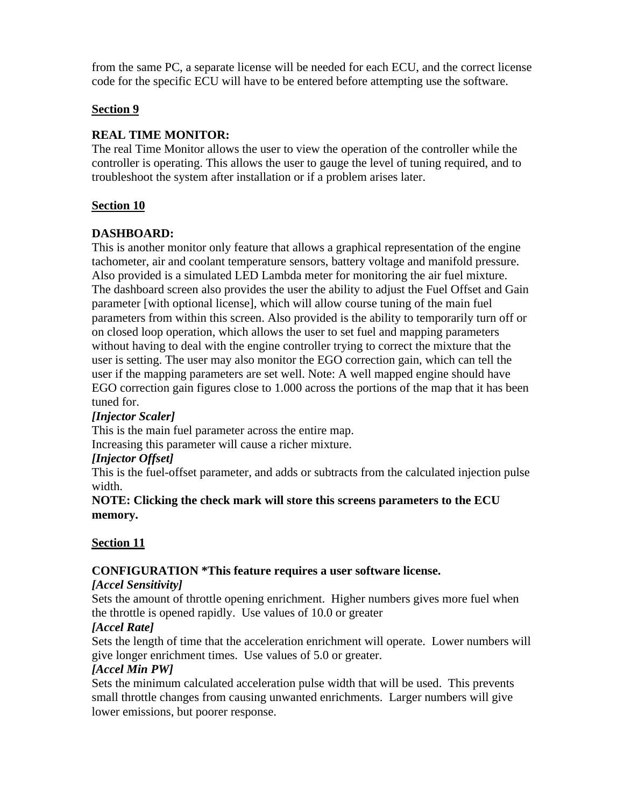from the same PC, a separate license will be needed for each ECU, and the correct license code for the specific ECU will have to be entered before attempting use the software.

## **Section 9**

## **REAL TIME MONITOR:**

The real Time Monitor allows the user to view the operation of the controller while the controller is operating. This allows the user to gauge the level of tuning required, and to troubleshoot the system after installation or if a problem arises later.

## **Section 10**

## **DASHBOARD:**

This is another monitor only feature that allows a graphical representation of the engine tachometer, air and coolant temperature sensors, battery voltage and manifold pressure. Also provided is a simulated LED Lambda meter for monitoring the air fuel mixture. The dashboard screen also provides the user the ability to adjust the Fuel Offset and Gain parameter [with optional license], which will allow course tuning of the main fuel parameters from within this screen. Also provided is the ability to temporarily turn off or on closed loop operation, which allows the user to set fuel and mapping parameters without having to deal with the engine controller trying to correct the mixture that the user is setting. The user may also monitor the EGO correction gain, which can tell the user if the mapping parameters are set well. Note: A well mapped engine should have EGO correction gain figures close to 1.000 across the portions of the map that it has been tuned for.

## *[Injector Scaler]*

This is the main fuel parameter across the entire map.

Increasing this parameter will cause a richer mixture.

## *[Injector Offset]*

This is the fuel-offset parameter, and adds or subtracts from the calculated injection pulse width.

## **NOTE: Clicking the check mark will store this screens parameters to the ECU memory.**

## **Section 11**

## **CONFIGURATION \*This feature requires a user software license.**

## *[Accel Sensitivity]*

Sets the amount of throttle opening enrichment. Higher numbers gives more fuel when the throttle is opened rapidly. Use values of 10.0 or greater

## *[Accel Rate]*

Sets the length of time that the acceleration enrichment will operate. Lower numbers will give longer enrichment times. Use values of 5.0 or greater.

## *[Accel Min PW]*

Sets the minimum calculated acceleration pulse width that will be used. This prevents small throttle changes from causing unwanted enrichments. Larger numbers will give lower emissions, but poorer response.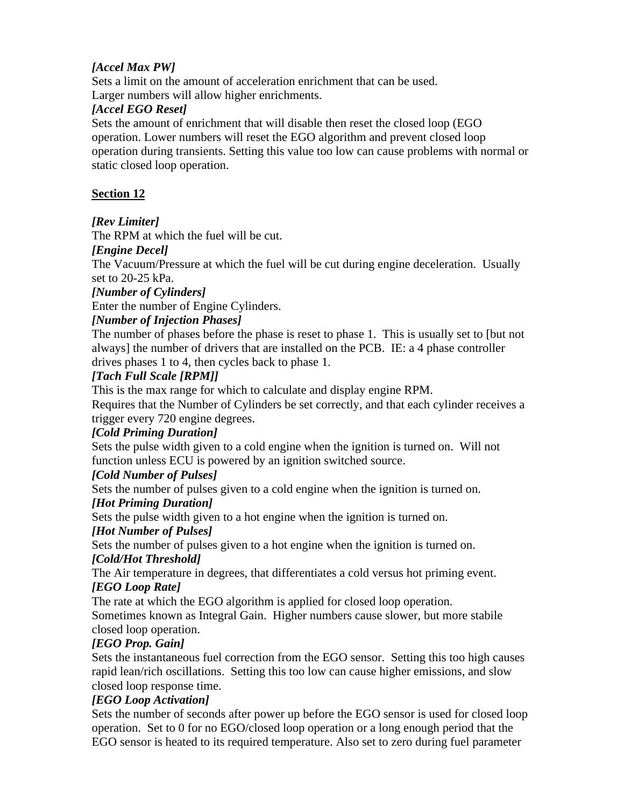# *[Accel Max PW]*

Sets a limit on the amount of acceleration enrichment that can be used. Larger numbers will allow higher enrichments.

## *[Accel EGO Reset]*

Sets the amount of enrichment that will disable then reset the closed loop (EGO operation. Lower numbers will reset the EGO algorithm and prevent closed loop operation during transients. Setting this value too low can cause problems with normal or static closed loop operation.

## **Section 12**

## *[Rev Limiter]*

The RPM at which the fuel will be cut.

## *[Engine Decel]*

The Vacuum/Pressure at which the fuel will be cut during engine deceleration. Usually set to 20-25 kPa.

#### *[Number of Cylinders]*

Enter the number of Engine Cylinders.

## *[Number of Injection Phases]*

The number of phases before the phase is reset to phase 1. This is usually set to [but not always] the number of drivers that are installed on the PCB. IE: a 4 phase controller drives phases 1 to 4, then cycles back to phase 1.

## *[Tach Full Scale [RPM]]*

This is the max range for which to calculate and display engine RPM.

Requires that the Number of Cylinders be set correctly, and that each cylinder receives a trigger every 720 engine degrees.

## *[Cold Priming Duration]*

Sets the pulse width given to a cold engine when the ignition is turned on. Will not function unless ECU is powered by an ignition switched source.

## *[Cold Number of Pulses]*

Sets the number of pulses given to a cold engine when the ignition is turned on.

#### *[Hot Priming Duration]*

Sets the pulse width given to a hot engine when the ignition is turned on.

## *[Hot Number of Pulses]*

Sets the number of pulses given to a hot engine when the ignition is turned on.

## *[Cold/Hot Threshold]*

The Air temperature in degrees, that differentiates a cold versus hot priming event. *[EGO Loop Rate]*

The rate at which the EGO algorithm is applied for closed loop operation.

Sometimes known as Integral Gain. Higher numbers cause slower, but more stabile closed loop operation.

## *[EGO Prop. Gain]*

Sets the instantaneous fuel correction from the EGO sensor. Setting this too high causes rapid lean/rich oscillations. Setting this too low can cause higher emissions, and slow closed loop response time.

## *[EGO Loop Activation]*

Sets the number of seconds after power up before the EGO sensor is used for closed loop operation. Set to 0 for no EGO/closed loop operation or a long enough period that the EGO sensor is heated to its required temperature. Also set to zero during fuel parameter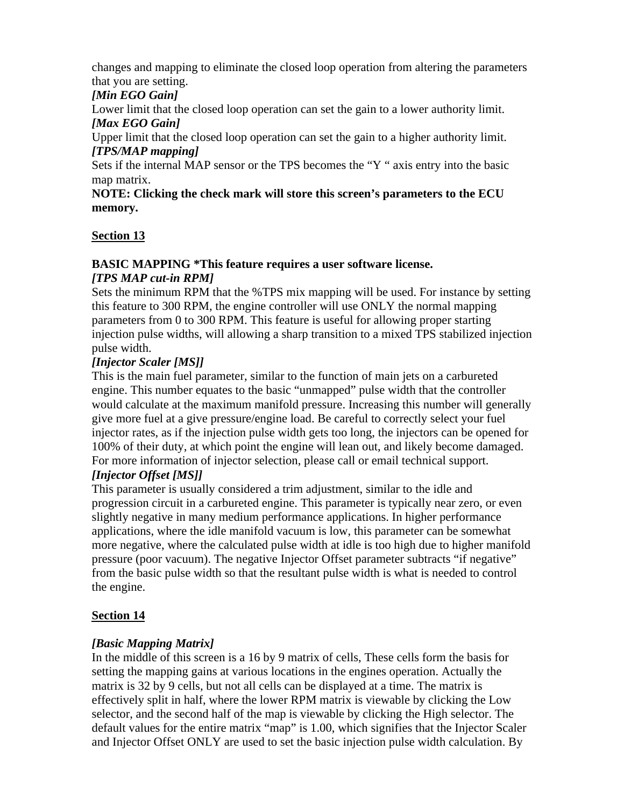changes and mapping to eliminate the closed loop operation from altering the parameters that you are setting.

## *[Min EGO Gain]*

Lower limit that the closed loop operation can set the gain to a lower authority limit.

# *[Max EGO Gain]*

Upper limit that the closed loop operation can set the gain to a higher authority limit. *[TPS/MAP mapping]*

Sets if the internal MAP sensor or the TPS becomes the "Y " axis entry into the basic map matrix.

**NOTE: Clicking the check mark will store this screen's parameters to the ECU memory.**

## **Section 13**

## **BASIC MAPPING \*This feature requires a user software license.** *[TPS MAP cut-in RPM]*

Sets the minimum RPM that the %TPS mix mapping will be used. For instance by setting this feature to 300 RPM, the engine controller will use ONLY the normal mapping parameters from 0 to 300 RPM. This feature is useful for allowing proper starting injection pulse widths, will allowing a sharp transition to a mixed TPS stabilized injection pulse width.

## *[Injector Scaler [MS]]*

This is the main fuel parameter, similar to the function of main jets on a carbureted engine. This number equates to the basic "unmapped" pulse width that the controller would calculate at the maximum manifold pressure. Increasing this number will generally give more fuel at a give pressure/engine load. Be careful to correctly select your fuel injector rates, as if the injection pulse width gets too long, the injectors can be opened for 100% of their duty, at which point the engine will lean out, and likely become damaged. For more information of injector selection, please call or email technical support.

# *[Injector Offset [MS]]*

This parameter is usually considered a trim adjustment, similar to the idle and progression circuit in a carbureted engine. This parameter is typically near zero, or even slightly negative in many medium performance applications. In higher performance applications, where the idle manifold vacuum is low, this parameter can be somewhat more negative, where the calculated pulse width at idle is too high due to higher manifold pressure (poor vacuum). The negative Injector Offset parameter subtracts "if negative" from the basic pulse width so that the resultant pulse width is what is needed to control the engine.

# **Section 14**

# *[Basic Mapping Matrix]*

In the middle of this screen is a 16 by 9 matrix of cells, These cells form the basis for setting the mapping gains at various locations in the engines operation. Actually the matrix is 32 by 9 cells, but not all cells can be displayed at a time. The matrix is effectively split in half, where the lower RPM matrix is viewable by clicking the Low selector, and the second half of the map is viewable by clicking the High selector. The default values for the entire matrix "map" is 1.00, which signifies that the Injector Scaler and Injector Offset ONLY are used to set the basic injection pulse width calculation. By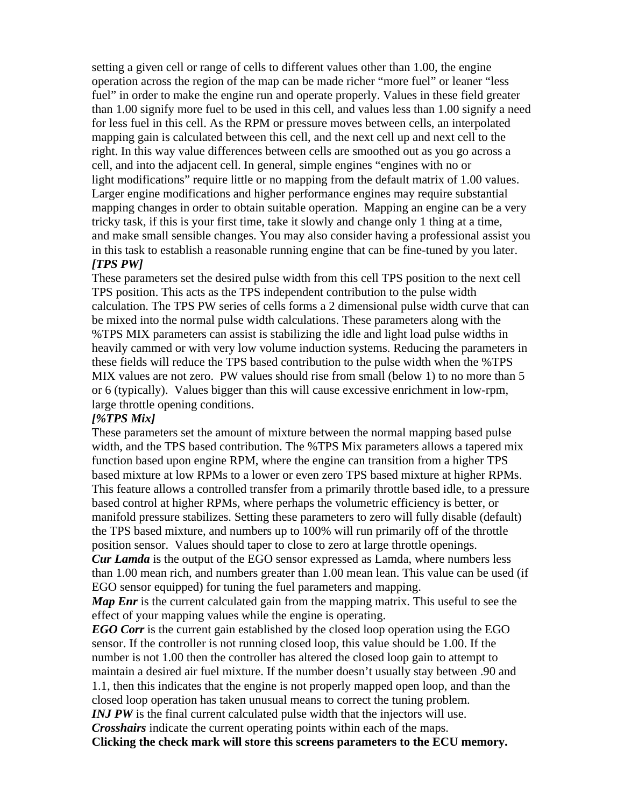setting a given cell or range of cells to different values other than 1.00, the engine operation across the region of the map can be made richer "more fuel" or leaner "less fuel" in order to make the engine run and operate properly. Values in these field greater than 1.00 signify more fuel to be used in this cell, and values less than 1.00 signify a need for less fuel in this cell. As the RPM or pressure moves between cells, an interpolated mapping gain is calculated between this cell, and the next cell up and next cell to the right. In this way value differences between cells are smoothed out as you go across a cell, and into the adjacent cell. In general, simple engines "engines with no or light modifications" require little or no mapping from the default matrix of 1.00 values. Larger engine modifications and higher performance engines may require substantial mapping changes in order to obtain suitable operation. Mapping an engine can be a very tricky task, if this is your first time, take it slowly and change only 1 thing at a time, and make small sensible changes. You may also consider having a professional assist you in this task to establish a reasonable running engine that can be fine-tuned by you later. *[TPS PW]*

#### These parameters set the desired pulse width from this cell TPS position to the next cell TPS position. This acts as the TPS independent contribution to the pulse width calculation. The TPS PW series of cells forms a 2 dimensional pulse width curve that can be mixed into the normal pulse width calculations. These parameters along with the %TPS MIX parameters can assist is stabilizing the idle and light load pulse widths in heavily cammed or with very low volume induction systems. Reducing the parameters in these fields will reduce the TPS based contribution to the pulse width when the %TPS MIX values are not zero. PW values should rise from small (below 1) to no more than 5 or 6 (typically). Values bigger than this will cause excessive enrichment in low-rpm, large throttle opening conditions.

#### *[%TPS Mix]*

These parameters set the amount of mixture between the normal mapping based pulse width, and the TPS based contribution. The %TPS Mix parameters allows a tapered mix function based upon engine RPM, where the engine can transition from a higher TPS based mixture at low RPMs to a lower or even zero TPS based mixture at higher RPMs. This feature allows a controlled transfer from a primarily throttle based idle, to a pressure based control at higher RPMs, where perhaps the volumetric efficiency is better, or manifold pressure stabilizes. Setting these parameters to zero will fully disable (default) the TPS based mixture, and numbers up to 100% will run primarily off of the throttle position sensor. Values should taper to close to zero at large throttle openings.

*Cur Lamda* is the output of the EGO sensor expressed as Lamda, where numbers less than 1.00 mean rich, and numbers greater than 1.00 mean lean. This value can be used (if EGO sensor equipped) for tuning the fuel parameters and mapping.

*Map Enr* is the current calculated gain from the mapping matrix. This useful to see the effect of your mapping values while the engine is operating.

*EGO Corr* is the current gain established by the closed loop operation using the EGO sensor. If the controller is not running closed loop, this value should be 1.00. If the number is not 1.00 then the controller has altered the closed loop gain to attempt to maintain a desired air fuel mixture. If the number doesn't usually stay between .90 and 1.1, then this indicates that the engine is not properly mapped open loop, and than the closed loop operation has taken unusual means to correct the tuning problem.

*INJ PW* is the final current calculated pulse width that the injectors will use.

*Crosshairs* indicate the current operating points within each of the maps. **Clicking the check mark will store this screens parameters to the ECU memory.**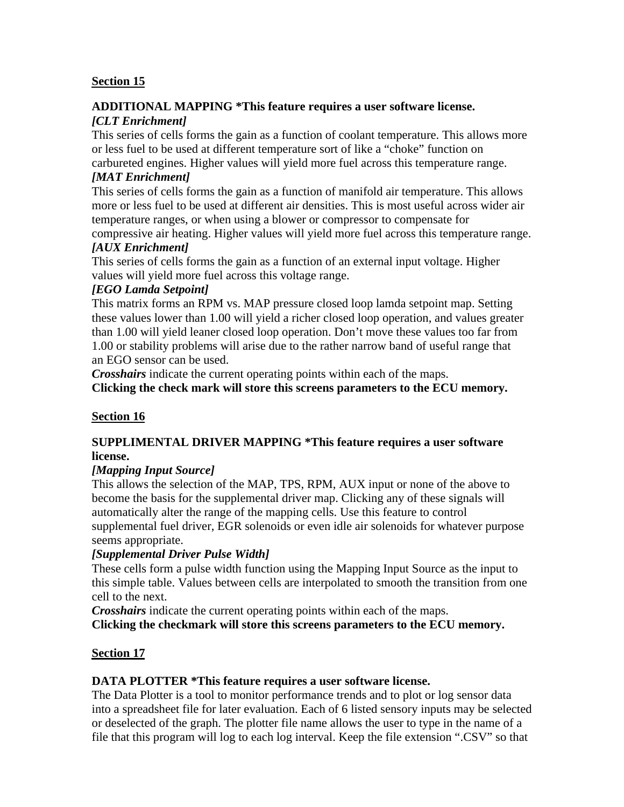#### **ADDITIONAL MAPPING \*This feature requires a user software license.** *[CLT Enrichment]*

This series of cells forms the gain as a function of coolant temperature. This allows more or less fuel to be used at different temperature sort of like a "choke" function on

## carbureted engines. Higher values will yield more fuel across this temperature range. *[MAT Enrichment]*

This series of cells forms the gain as a function of manifold air temperature. This allows more or less fuel to be used at different air densities. This is most useful across wider air temperature ranges, or when using a blower or compressor to compensate for

compressive air heating. Higher values will yield more fuel across this temperature range. *[AUX Enrichment]*

This series of cells forms the gain as a function of an external input voltage. Higher values will yield more fuel across this voltage range.

## *[EGO Lamda Setpoint]*

This matrix forms an RPM vs. MAP pressure closed loop lamda setpoint map. Setting these values lower than 1.00 will yield a richer closed loop operation, and values greater than 1.00 will yield leaner closed loop operation. Don't move these values too far from 1.00 or stability problems will arise due to the rather narrow band of useful range that an EGO sensor can be used.

*Crosshairs* indicate the current operating points within each of the maps. **Clicking the check mark will store this screens parameters to the ECU memory.**

# **Section 16**

## **SUPPLIMENTAL DRIVER MAPPING \*This feature requires a user software license.**

## *[Mapping Input Source]*

This allows the selection of the MAP, TPS, RPM, AUX input or none of the above to become the basis for the supplemental driver map. Clicking any of these signals will automatically alter the range of the mapping cells. Use this feature to control supplemental fuel driver, EGR solenoids or even idle air solenoids for whatever purpose seems appropriate.

## *[Supplemental Driver Pulse Width]*

These cells form a pulse width function using the Mapping Input Source as the input to this simple table. Values between cells are interpolated to smooth the transition from one cell to the next.

*Crosshairs* indicate the current operating points within each of the maps. **Clicking the checkmark will store this screens parameters to the ECU memory.**

# **Section 17**

## **DATA PLOTTER \*This feature requires a user software license.**

The Data Plotter is a tool to monitor performance trends and to plot or log sensor data into a spreadsheet file for later evaluation. Each of 6 listed sensory inputs may be selected or deselected of the graph. The plotter file name allows the user to type in the name of a file that this program will log to each log interval. Keep the file extension ".CSV" so that